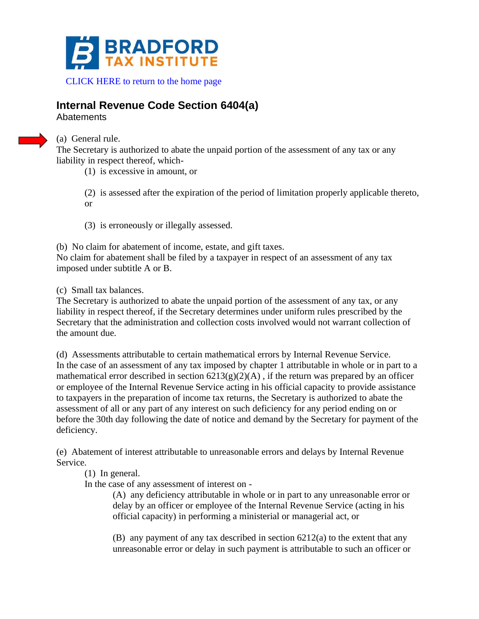

## **Internal Revenue Code Section 6404(a)**

**Abatements** 



(a) General rule.

The Secretary is authorized to abate the unpaid portion of the assessment of any tax or any liability in respect thereof, which-

(1) is excessive in amount, or

(2) is assessed after the expiration of the period of limitation properly applicable thereto, or

(3) is erroneously or illegally assessed.

(b) No claim for abatement of income, estate, and gift taxes. No claim for abatement shall be filed by a taxpayer in respect of an assessment of any tax imposed under subtitle A or B.

(c) Small tax balances.

The Secretary is authorized to abate the unpaid portion of the assessment of any tax, or any liability in respect thereof, if the Secretary determines under uniform rules prescribed by the Secretary that the administration and collection costs involved would not warrant collection of the amount due.

(d) Assessments attributable to certain mathematical errors by Internal Revenue Service. In the case of an assessment of any tax imposed by chapter 1 attributable in whole or in part to a mathematical error described in section  $6213(g)(2)(A)$ , if the return was prepared by an officer or employee of the Internal Revenue Service acting in his official capacity to provide assistance to taxpayers in the preparation of income tax returns, the Secretary is authorized to abate the assessment of all or any part of any interest on such deficiency for any period ending on or before the 30th day following the date of notice and demand by the Secretary for payment of the deficiency.

(e) Abatement of interest attributable to unreasonable errors and delays by Internal Revenue Service.

(1) In general.

In the case of any assessment of interest on -

(A) any deficiency attributable in whole or in part to any unreasonable error or delay by an officer or employee of the Internal Revenue Service (acting in his official capacity) in performing a ministerial or managerial act, or

(B) any payment of any tax described in section 6212(a) to the extent that any unreasonable error or delay in such payment is attributable to such an officer or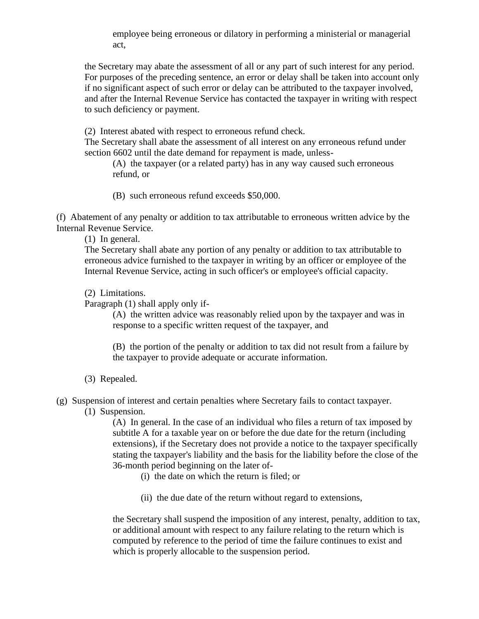employee being erroneous or dilatory in performing a ministerial or managerial act,

the Secretary may abate the assessment of all or any part of such interest for any period. For purposes of the preceding sentence, an error or delay shall be taken into account only if no significant aspect of such error or delay can be attributed to the taxpayer involved, and after the Internal Revenue Service has contacted the taxpayer in writing with respect to such deficiency or payment.

(2) Interest abated with respect to erroneous refund check.

The Secretary shall abate the assessment of all interest on any erroneous refund under section 6602 until the date demand for repayment is made, unless-

(A) the taxpayer (or a related party) has in any way caused such erroneous refund, or

(B) such erroneous refund exceeds \$50,000.

(f) Abatement of any penalty or addition to tax attributable to erroneous written advice by the Internal Revenue Service.

(1) In general.

The Secretary shall abate any portion of any penalty or addition to tax attributable to erroneous advice furnished to the taxpayer in writing by an officer or employee of the Internal Revenue Service, acting in such officer's or employee's official capacity.

(2) Limitations.

Paragraph (1) shall apply only if-

(A) the written advice was reasonably relied upon by the taxpayer and was in response to a specific written request of the taxpayer, and

(B) the portion of the penalty or addition to tax did not result from a failure by the taxpayer to provide adequate or accurate information.

- (3) Repealed.
- (g) Suspension of interest and certain penalties where Secretary fails to contact taxpayer.

(1) Suspension.

(A) In general. In the case of an individual who files a return of tax imposed by subtitle A for a taxable year on or before the due date for the return (including extensions), if the Secretary does not provide a notice to the taxpayer specifically stating the taxpayer's liability and the basis for the liability before the close of the 36-month period beginning on the later of-

(i) the date on which the return is filed; or

(ii) the due date of the return without regard to extensions,

the Secretary shall suspend the imposition of any interest, penalty, addition to tax, or additional amount with respect to any failure relating to the return which is computed by reference to the period of time the failure continues to exist and which is properly allocable to the suspension period.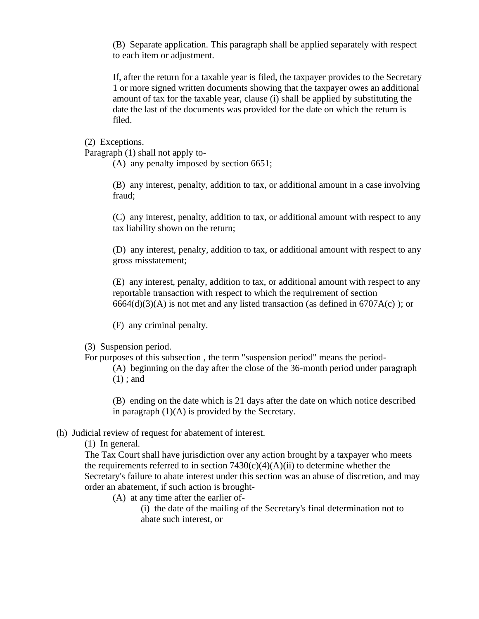(B) Separate application. This paragraph shall be applied separately with respect to each item or adjustment.

If, after the return for a taxable year is filed, the taxpayer provides to the Secretary 1 or more signed written documents showing that the taxpayer owes an additional amount of tax for the taxable year, clause (i) shall be applied by substituting the date the last of the documents was provided for the date on which the return is filed.

(2) Exceptions.

Paragraph (1) shall not apply to-

(A) any penalty imposed by section 6651;

(B) any interest, penalty, addition to tax, or additional amount in a case involving fraud;

(C) any interest, penalty, addition to tax, or additional amount with respect to any tax liability shown on the return;

(D) any interest, penalty, addition to tax, or additional amount with respect to any gross misstatement;

(E) any interest, penalty, addition to tax, or additional amount with respect to any reportable transaction with respect to which the requirement of section  $6664(d)(3)(A)$  is not met and any listed transaction (as defined in  $6707A(c)$ ); or

(F) any criminal penalty.

- (3) Suspension period.
- For purposes of this subsection , the term "suspension period" means the period-
	- (A) beginning on the day after the close of the 36-month period under paragraph (1) ; and

(B) ending on the date which is 21 days after the date on which notice described in paragraph  $(1)(A)$  is provided by the Secretary.

## (h) Judicial review of request for abatement of interest.

(1) In general.

The Tax Court shall have jurisdiction over any action brought by a taxpayer who meets the requirements referred to in section  $7430(c)(4)(A)(ii)$  to determine whether the Secretary's failure to abate interest under this section was an abuse of discretion, and may order an abatement, if such action is brought-

(A) at any time after the earlier of-

(i) the date of the mailing of the Secretary's final determination not to abate such interest, or